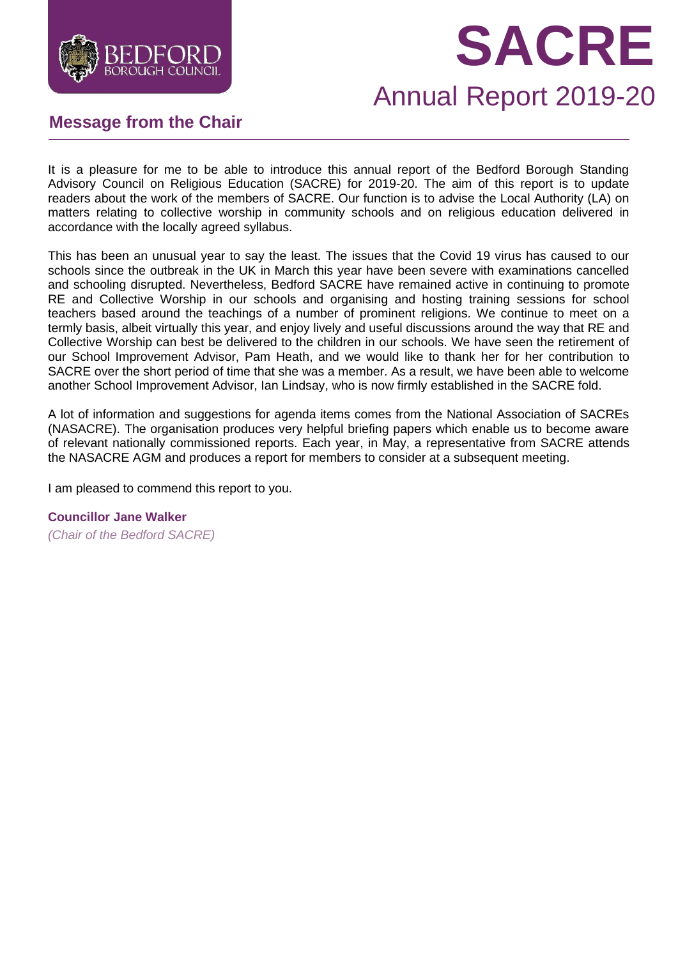

# **SACRE**

## Annual Report 2019-20

## **Message from the Chair**

It is a pleasure for me to be able to introduce this annual report of the Bedford Borough Standing Advisory Council on Religious Education (SACRE) for 2019-20. The aim of this report is to update readers about the work of the members of SACRE. Our function is to advise the Local Authority (LA) on matters relating to collective worship in community schools and on religious education delivered in accordance with the locally agreed syllabus.

This has been an unusual year to say the least. The issues that the Covid 19 virus has caused to our schools since the outbreak in the UK in March this year have been severe with examinations cancelled and schooling disrupted. Nevertheless, Bedford SACRE have remained active in continuing to promote RE and Collective Worship in our schools and organising and hosting training sessions for school teachers based around the teachings of a number of prominent religions. We continue to meet on a termly basis, albeit virtually this year, and enjoy lively and useful discussions around the way that RE and Collective Worship can best be delivered to the children in our schools. We have seen the retirement of our School Improvement Advisor, Pam Heath, and we would like to thank her for her contribution to SACRE over the short period of time that she was a member. As a result, we have been able to welcome another School Improvement Advisor, Ian Lindsay, who is now firmly established in the SACRE fold.

A lot of information and suggestions for agenda items comes from the National Association of SACREs (NASACRE). The organisation produces very helpful briefing papers which enable us to become aware of relevant nationally commissioned reports. Each year, in May, a representative from SACRE attends the NASACRE AGM and produces a report for members to consider at a subsequent meeting.

I am pleased to commend this report to you.

**Councillor Jane Walker**

*(Chair of the Bedford SACRE)*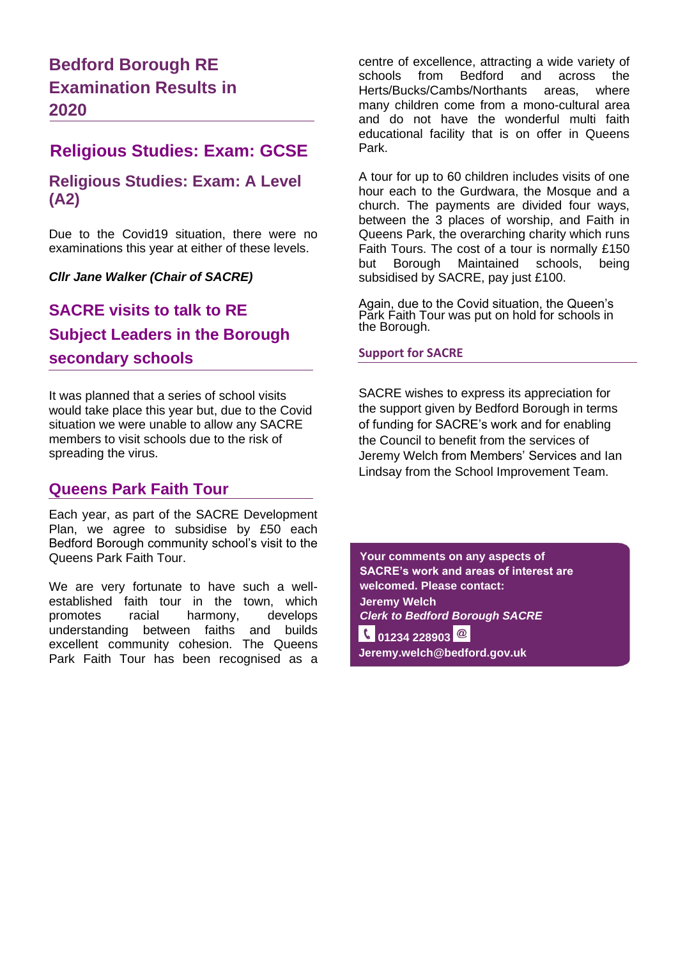## **Bedford Borough RE Examination Results in 2020**

## **Religious Studies: Exam: GCSE**

#### **Religious Studies: Exam: A Level (A2)**

Due to the Covid19 situation, there were no examinations this year at either of these levels.

*Cllr Jane Walker (Chair of SACRE)*

## **SACRE visits to talk to RE Subject Leaders in the Borough secondary schools**

It was planned that a series of school visits would take place this year but, due to the Covid situation we were unable to allow any SACRE members to visit schools due to the risk of spreading the virus.

### **Queens Park Faith Tour**

Each year, as part of the SACRE Development Plan, we agree to subsidise by £50 each Bedford Borough community school's visit to the Queens Park Faith Tour.

We are very fortunate to have such a wellestablished faith tour in the town, which promotes racial harmony, develops understanding between faiths and builds excellent community cohesion. The Queens Park Faith Tour has been recognised as a centre of excellence, attracting a wide variety of schools from Bedford and across the Herts/Bucks/Cambs/Northants areas, where many children come from a mono-cultural area and do not have the wonderful multi faith educational facility that is on offer in Queens Park.

A tour for up to 60 children includes visits of one hour each to the Gurdwara, the Mosque and a church. The payments are divided four ways, between the 3 places of worship, and Faith in Queens Park, the overarching charity which runs Faith Tours. The cost of a tour is normally £150 but Borough Maintained schools, being subsidised by SACRE, pay just £100.

Again, due to the Covid situation, the Queen's Park Faith Tour was put on hold for schools in the Borough.

#### **Support for SACRE**

SACRE wishes to express its appreciation for the support given by Bedford Borough in terms of funding for SACRE's work and for enabling the Council to benefit from the services of Jeremy Welch from Members' Services and Ian Lindsay from the School Improvement Team.

**Your comments on any aspects of SACRE's work and areas of interest are welcomed. Please contact: Jeremy Welch** *Clerk to Bedford Borough SACRE* **6** 01234 228903 <sup>@</sup> **Jeremy.welch@bedford.gov.uk**